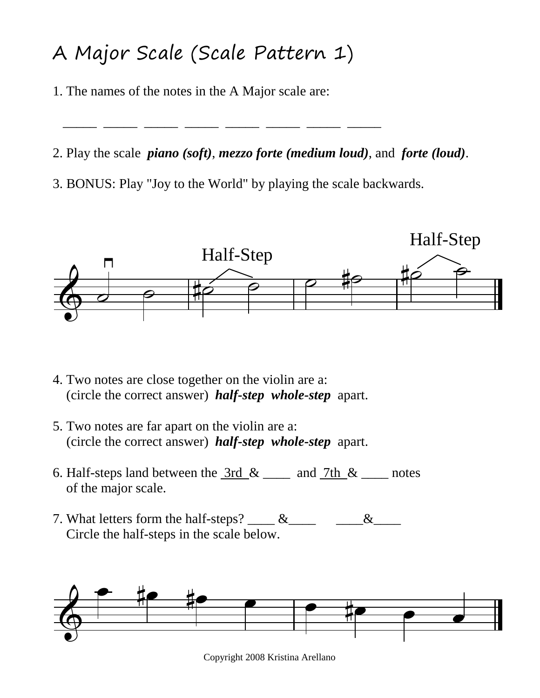## A Major Scale (Scale Pattern 1)

\_\_\_\_\_ \_\_\_\_\_ \_\_\_\_\_ \_\_\_\_\_ \_\_\_\_\_ \_\_\_\_\_ \_\_\_\_\_ \_\_\_\_\_

1. The names of the notes in the A Major scale are:

2. Play the scale *piano (soft)*, *mezzo forte (medium loud)*, and *forte (loud)*.

3. BONUS: Play "Joy to the World" by playing the scale backwards.



- 4. Two notes are close together on the violin are a: (circle the correct answer) *half-step whole-step* apart.
- 5. Two notes are far apart on the violin are a: (circle the correct answer) *half-step whole-step* apart.
- 6. Half-steps land between the  $\frac{3rd}{x}$  & \_\_\_\_ and  $\frac{7th}{x}$  & \_\_\_\_ notes of the major scale.
- 7. What letters form the half-steps?  $\&$   $\&$   $\&$ Circle the half-steps in the scale below.



Copyright 2008 Kristina Arellano